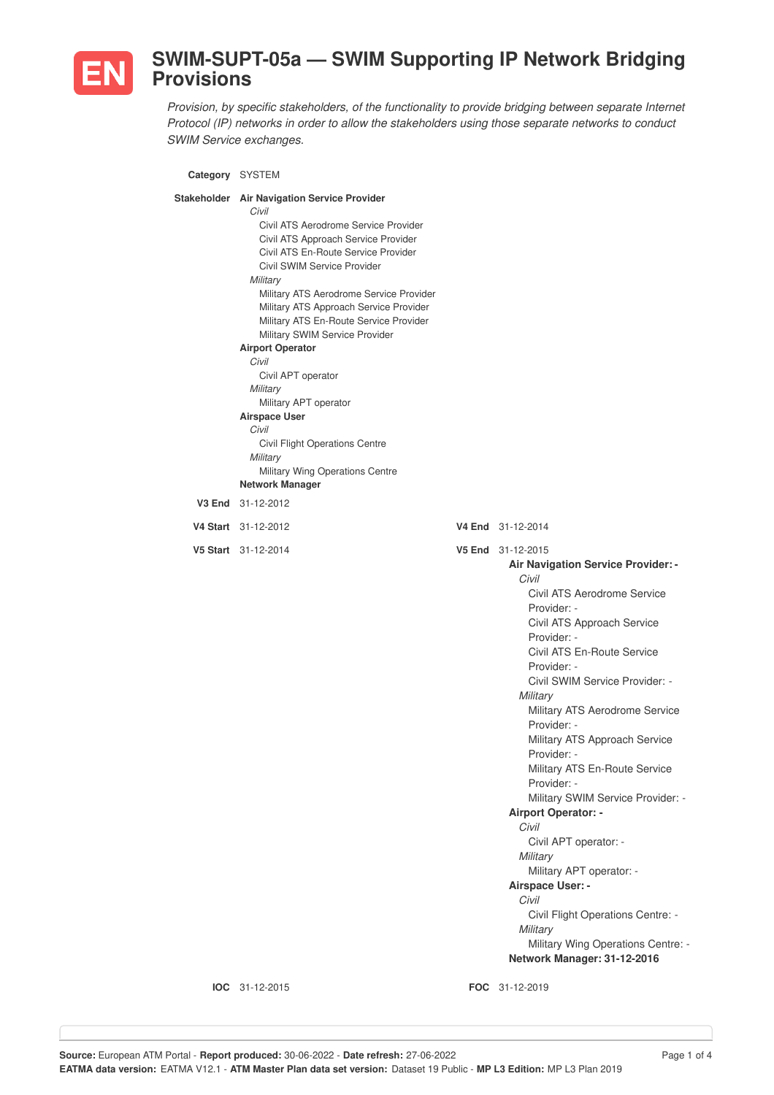

## **SWIM-SUPT-05a — SWIM Supporting IP Network Bridging Provisions**

*Provision, by specific stakeholders, of the functionality to provide bridging between separate Internet Protocol (IP) networks in order to allow the stakeholders using those separate networks to conduct SWIM Service exchanges.*

| Category SYSTEM                                                                                                                                                                                                                                                                                                                                                                                                                                                                                                                                                                                                                   |                                                                                                                                                                                                                                                                                                                                                                                                                                                                                                                                                                                                                                                                                                         |
|-----------------------------------------------------------------------------------------------------------------------------------------------------------------------------------------------------------------------------------------------------------------------------------------------------------------------------------------------------------------------------------------------------------------------------------------------------------------------------------------------------------------------------------------------------------------------------------------------------------------------------------|---------------------------------------------------------------------------------------------------------------------------------------------------------------------------------------------------------------------------------------------------------------------------------------------------------------------------------------------------------------------------------------------------------------------------------------------------------------------------------------------------------------------------------------------------------------------------------------------------------------------------------------------------------------------------------------------------------|
| Stakeholder Air Navigation Service Provider<br>Civil<br>Civil ATS Aerodrome Service Provider<br>Civil ATS Approach Service Provider<br>Civil ATS En-Route Service Provider<br>Civil SWIM Service Provider<br>Military<br>Military ATS Aerodrome Service Provider<br>Military ATS Approach Service Provider<br>Military ATS En-Route Service Provider<br>Military SWIM Service Provider<br><b>Airport Operator</b><br>Civil<br>Civil APT operator<br>Military<br>Military APT operator<br><b>Airspace User</b><br>Civil<br>Civil Flight Operations Centre<br>Military<br>Military Wing Operations Centre<br><b>Network Manager</b> |                                                                                                                                                                                                                                                                                                                                                                                                                                                                                                                                                                                                                                                                                                         |
| V3 End 31-12-2012                                                                                                                                                                                                                                                                                                                                                                                                                                                                                                                                                                                                                 |                                                                                                                                                                                                                                                                                                                                                                                                                                                                                                                                                                                                                                                                                                         |
| V4 Start 31-12-2012                                                                                                                                                                                                                                                                                                                                                                                                                                                                                                                                                                                                               | V4 End 31-12-2014                                                                                                                                                                                                                                                                                                                                                                                                                                                                                                                                                                                                                                                                                       |
| V5 Start 31-12-2014                                                                                                                                                                                                                                                                                                                                                                                                                                                                                                                                                                                                               | V5 End 31-12-2015<br>Air Navigation Service Provider: -<br>Civil<br>Civil ATS Aerodrome Service<br>Provider: -<br>Civil ATS Approach Service<br>Provider: -<br>Civil ATS En-Route Service<br>Provider: -<br>Civil SWIM Service Provider: -<br>Military<br>Military ATS Aerodrome Service<br>Provider: -<br>Military ATS Approach Service<br>Provider: -<br>Military ATS En-Route Service<br>Provider: -<br>Military SWIM Service Provider: -<br><b>Airport Operator: -</b><br>Civil<br>Civil APT operator: -<br>Military<br>Military APT operator: -<br>Airspace User: -<br>Civil<br>Civil Flight Operations Centre: -<br>Military<br>Military Wing Operations Centre: -<br>Network Manager: 31-12-2016 |

**IOC** 31-12-2015 **FOC** 31-12-2019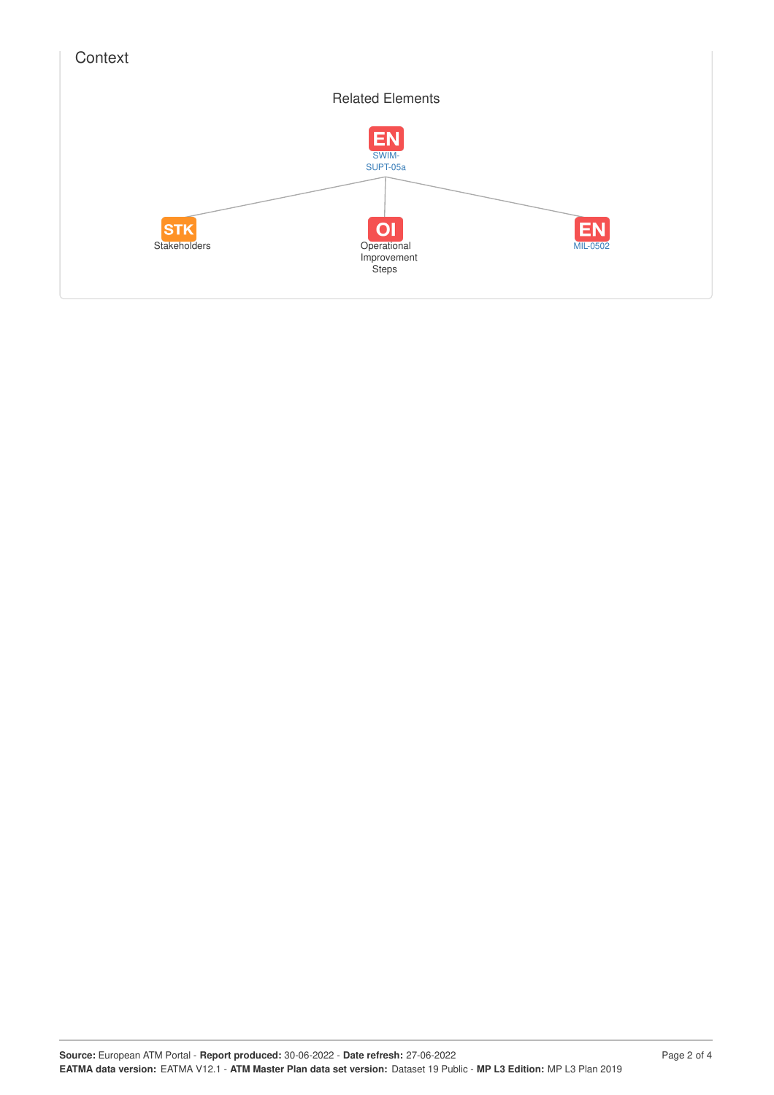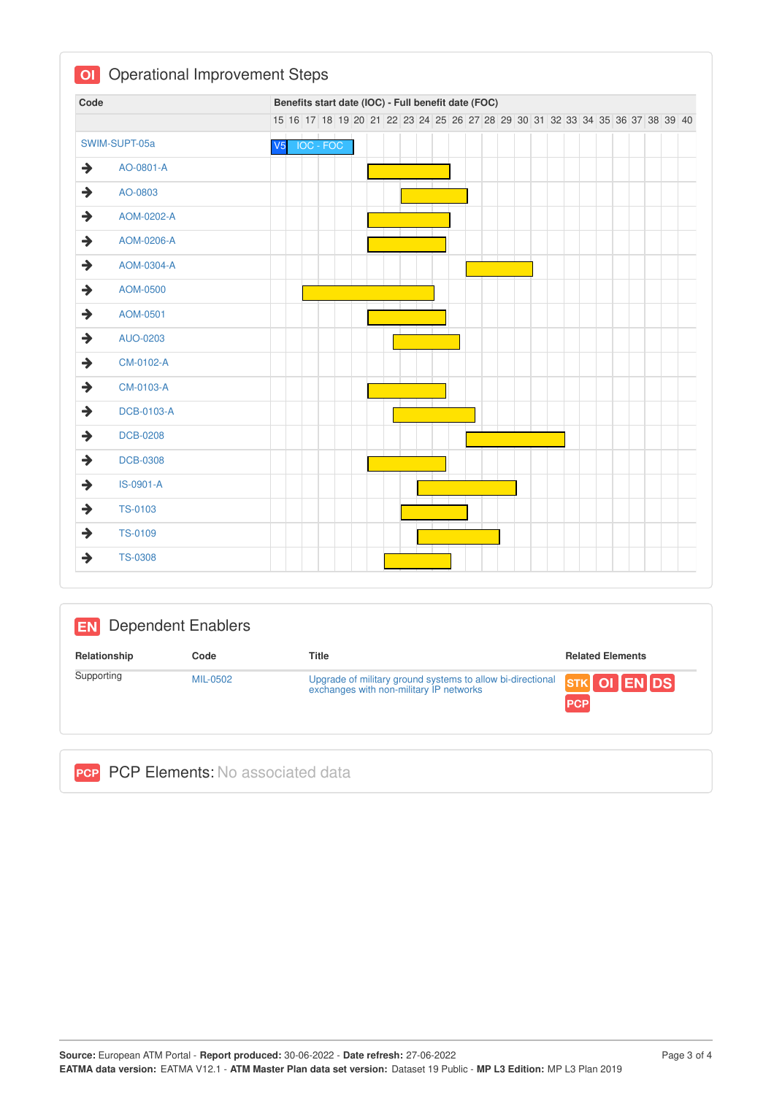| Code                             |                | Benefits start date (IOC) - Full benefit date (FOC)                           |  |  |  |  |  |  |  |  |  |  |  |  |
|----------------------------------|----------------|-------------------------------------------------------------------------------|--|--|--|--|--|--|--|--|--|--|--|--|
|                                  |                | 15 16 17 18 19 20 21 22 23 24 25 26 27 28 29 30 31 32 33 34 35 36 37 38 39 40 |  |  |  |  |  |  |  |  |  |  |  |  |
| SWIM-SUPT-05a                    | V <sub>5</sub> | IOC - FOC                                                                     |  |  |  |  |  |  |  |  |  |  |  |  |
| →<br>AO-0801-A                   |                |                                                                               |  |  |  |  |  |  |  |  |  |  |  |  |
| $\rightarrow$<br>AO-0803         |                |                                                                               |  |  |  |  |  |  |  |  |  |  |  |  |
| →<br>AOM-0202-A                  |                |                                                                               |  |  |  |  |  |  |  |  |  |  |  |  |
| $\rightarrow$<br>AOM-0206-A      |                |                                                                               |  |  |  |  |  |  |  |  |  |  |  |  |
| $\rightarrow$<br>AOM-0304-A      |                |                                                                               |  |  |  |  |  |  |  |  |  |  |  |  |
| $\rightarrow$<br>AOM-0500        |                |                                                                               |  |  |  |  |  |  |  |  |  |  |  |  |
| $\rightarrow$<br>AOM-0501        |                |                                                                               |  |  |  |  |  |  |  |  |  |  |  |  |
| $\rightarrow$<br>AUO-0203        |                |                                                                               |  |  |  |  |  |  |  |  |  |  |  |  |
| $\rightarrow$<br>CM-0102-A       |                |                                                                               |  |  |  |  |  |  |  |  |  |  |  |  |
| $\rightarrow$<br>CM-0103-A       |                |                                                                               |  |  |  |  |  |  |  |  |  |  |  |  |
| →<br><b>DCB-0103-A</b>           |                |                                                                               |  |  |  |  |  |  |  |  |  |  |  |  |
| $\rightarrow$<br><b>DCB-0208</b> |                |                                                                               |  |  |  |  |  |  |  |  |  |  |  |  |
| $\rightarrow$<br><b>DCB-0308</b> |                |                                                                               |  |  |  |  |  |  |  |  |  |  |  |  |
| $\rightarrow$<br>IS-0901-A       |                |                                                                               |  |  |  |  |  |  |  |  |  |  |  |  |
| $\rightarrow$<br>TS-0103         |                |                                                                               |  |  |  |  |  |  |  |  |  |  |  |  |
| $\rightarrow$<br><b>TS-0109</b>  |                |                                                                               |  |  |  |  |  |  |  |  |  |  |  |  |
| →<br><b>TS-0308</b>              |                |                                                                               |  |  |  |  |  |  |  |  |  |  |  |  |

| <b>EN</b>    | <b>Dependent Enablers</b> |                                                                                                       |                            |
|--------------|---------------------------|-------------------------------------------------------------------------------------------------------|----------------------------|
| Relationship | Code                      | <b>Title</b>                                                                                          | <b>Related Elements</b>    |
| Supporting   | MIL-0502                  | Upgrade of military ground systems to allow bi-directional<br>exchanges with non-military IP networks | STK OI EN DS<br><b>PCP</b> |

|  |  |  |  | <b>PCP</b> PCP Elements: No associated data |  |
|--|--|--|--|---------------------------------------------|--|
|--|--|--|--|---------------------------------------------|--|